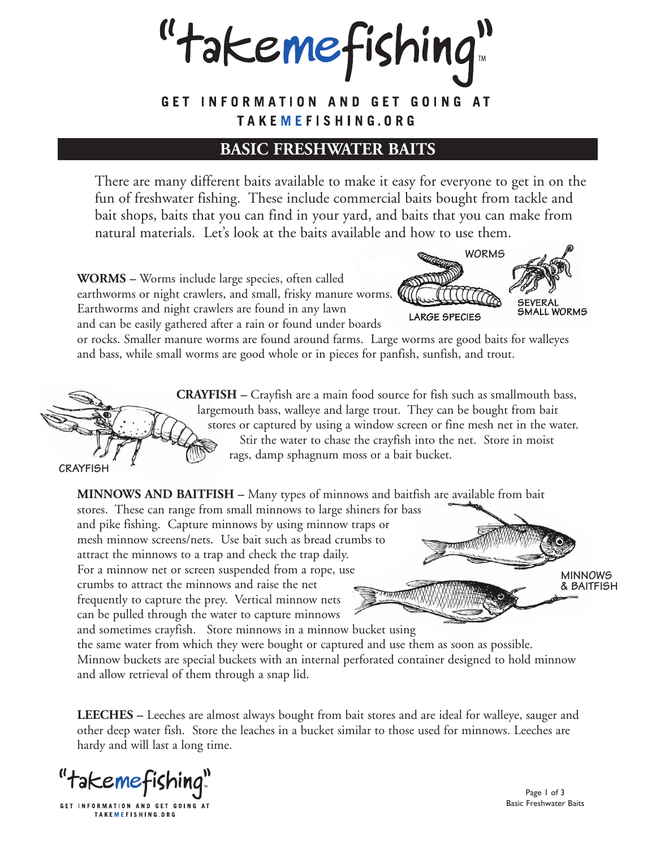"takemefishing"

GET INFORMATION AND GET GOING AT TAKEMEFISHING.ORG

## **BASIC FRESHWATER BAITS**

There are many different baits available to make it easy for everyone to get in on the fun of freshwater fishing. These include commercial baits bought from tackle and bait shops, baits that you can find in your yard, and baits that you can make from natural materials. Let's look at the baits available and how to use them.

**WORMS –** Worms include large species, often called earthworms or night crawlers, and small, frisky manure worms. Earthworms and night crawlers are found in any lawn and can be easily gathered after a rain or found under boards



or rocks. Smaller manure worms are found around farms. Large worms are good baits for walleyes and bass, while small worms are good whole or in pieces for panfish, sunfish, and trout.



**CRAYFISH –** Crayfish are a main food source for fish such as smallmouth bass, largemouth bass, walleye and large trout. They can be bought from bait stores or captured by using a window screen or fine mesh net in the water. Stir the water to chase the crayfish into the net. Store in moist rags, damp sphagnum moss or a bait bucket.

**MINNOWS AND BAITFISH –** Many types of minnows and baitfish are available from bait

stores. These can range from small minnows to large shiners for bass and pike fishing. Capture minnows by using minnow traps or mesh minnow screens/nets. Use bait such as bread crumbs to attract the minnows to a trap and check the trap daily. For a minnow net or screen suspended from a rope, use crumbs to attract the minnows and raise the net WWWW frequently to capture the prey. Vertical minnow nets can be pulled through the water to capture minnows

and sometimes crayfish. Store minnows in a minnow bucket using the same water from which they were bought or captured and use them as soon as possible. Minnow buckets are special buckets with an internal perforated container designed to hold minnow and allow retrieval of them through a snap lid.

**LEECHES –** Leeches are almost always bought from bait stores and are ideal for walleye, sauger and other deep water fish. Store the leaches in a bucket similar to those used for minnows. Leeches are hardy and will last a long time.

"takemefishing"

GET INFORMATION AND GET GOING AT TAKEMEFISHING.ORG

Page 1 of 3 Basic Freshwater Baits

**MINNOWS & BAITFISH**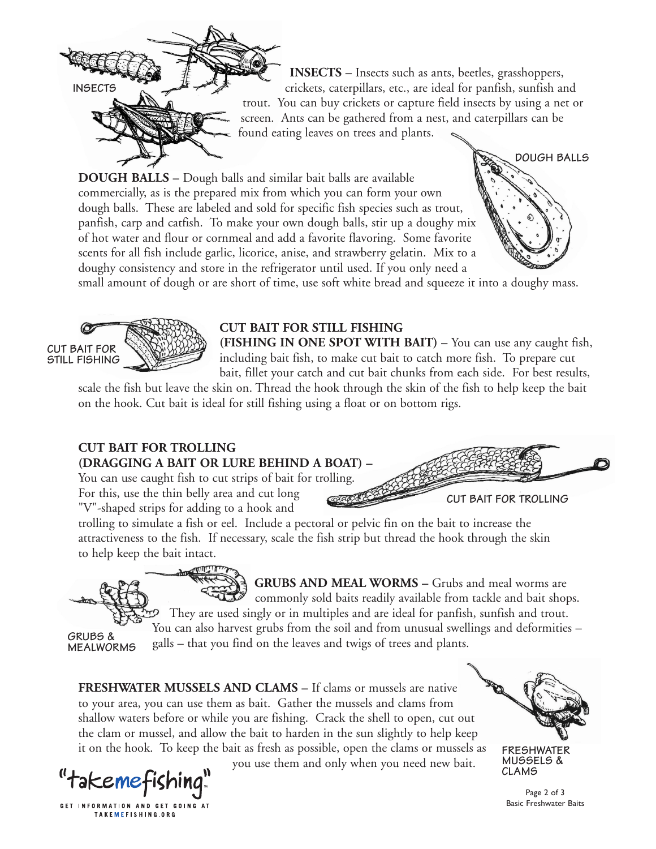

**INSECTS –** Insects such as ants, beetles, grasshoppers, crickets, caterpillars, etc., are ideal for panfish, sunfish and trout. You can buy crickets or capture field insects by using a net or screen. Ants can be gathered from a nest, and caterpillars can be found eating leaves on trees and plants.

**DOUGH BALLS –** Dough balls and similar bait balls are available commercially, as is the prepared mix from which you can form your own dough balls. These are labeled and sold for specific fish species such as trout, panfish, carp and catfish. To make your own dough balls, stir up a doughy mix of hot water and flour or cornmeal and add a favorite flavoring. Some favorite scents for all fish include garlic, licorice, anise, and strawberry gelatin. Mix to a doughy consistency and store in the refrigerator until used. If you only need a

small amount of dough or are short of time, use soft white bread and squeeze it into a doughy mass.



## **CUT BAIT FOR STILL FISHING**

**(FISHING IN ONE SPOT WITH BAIT) –** You can use any caught fish, including bait fish, to make cut bait to catch more fish. To prepare cut bait, fillet your catch and cut bait chunks from each side. For best results,

scale the fish but leave the skin on. Thread the hook through the skin of the fish to help keep the bait on the hook. Cut bait is ideal for still fishing using a float or on bottom rigs.

## **CUT BAIT FOR TROLLING (DRAGGING A BAIT OR LURE BEHIND A BOAT) –**

You can use caught fish to cut strips of bait for trolling. For this, use the thin belly area and cut long "V"-shaped strips for adding to a hook and

trolling to simulate a fish or eel. Include a pectoral or pelvic fin on the bait to increase the attractiveness to the fish. If necessary, scale the fish strip but thread the hook through the skin

**GRUBS & MEALWORMS**

to help keep the bait intact.

GRUBS AND MEAL WORMS - Grubs and meal worms are commonly sold baits readily available from tackle and bait shops. They are used singly or in multiples and are ideal for panfish, sunfish and trout. You can also harvest grubs from the soil and from unusual swellings and deformities – galls – that you find on the leaves and twigs of trees and plants.

**FRESHWATER MUSSELS AND CLAMS –** If clams or mussels are native to your area, you can use them as bait. Gather the mussels and clams from shallow waters before or while you are fishing. Crack the shell to open, cut out the clam or mussel, and allow the bait to harden in the sun slightly to help keep it on the hook. To keep the bait as fresh as possible, open the clams or mussels as



GET INFORMATION AND GET GOING AT TAKEMEFISHING.ORG

you use them and only when you need new bait.



**DOUGH BALLS**

**FRESHWATER MUSSELS & CLAMS**

Page 2 of 3 Basic Freshwater Baits

**CUT BAIT FOR TROLLING**